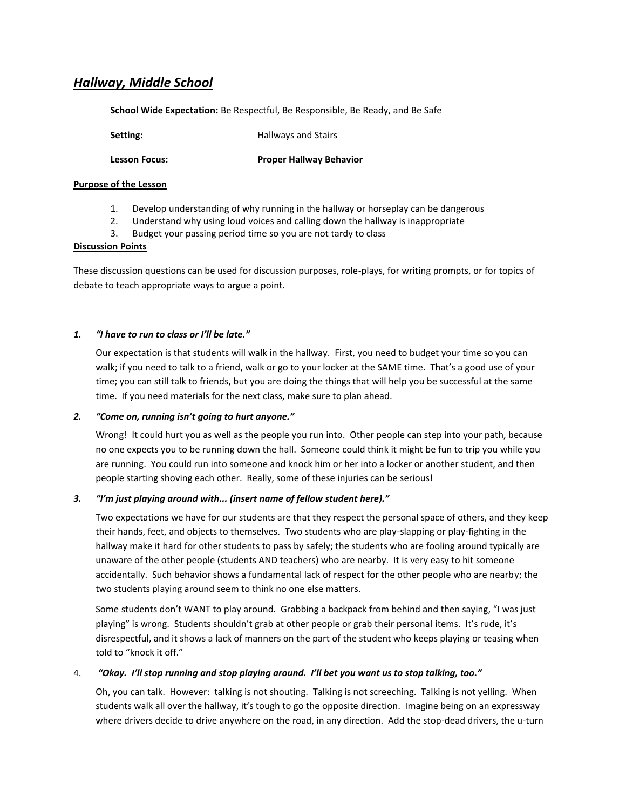# *Hallway, Middle School*

**School Wide Expectation:** Be Respectful, Be Responsible, Be Ready, and Be Safe

**Setting: Hallways and Stairs** 

**Lesson Focus: Proper Hallway Behavior**

## **Purpose of the Lesson**

- 1. Develop understanding of why running in the hallway or horseplay can be dangerous
- 2. Understand why using loud voices and calling down the hallway is inappropriate
- 3. Budget your passing period time so you are not tardy to class

### **Discussion Points**

These discussion questions can be used for discussion purposes, role-plays, for writing prompts, or for topics of debate to teach appropriate ways to argue a point.

## *1. "I have to run to class or I'll be late."*

Our expectation is that students will walk in the hallway. First, you need to budget your time so you can walk; if you need to talk to a friend, walk or go to your locker at the SAME time. That's a good use of your time; you can still talk to friends, but you are doing the things that will help you be successful at the same time. If you need materials for the next class, make sure to plan ahead.

### *2. "Come on, running isn't going to hurt anyone."*

Wrong! It could hurt you as well as the people you run into. Other people can step into your path, because no one expects you to be running down the hall. Someone could think it might be fun to trip you while you are running. You could run into someone and knock him or her into a locker or another student, and then people starting shoving each other. Really, some of these injuries can be serious!

### *3. "I'm just playing around with... (insert name of fellow student here)."*

Two expectations we have for our students are that they respect the personal space of others, and they keep their hands, feet, and objects to themselves. Two students who are play-slapping or play-fighting in the hallway make it hard for other students to pass by safely; the students who are fooling around typically are unaware of the other people (students AND teachers) who are nearby. It is very easy to hit someone accidentally. Such behavior shows a fundamental lack of respect for the other people who are nearby; the two students playing around seem to think no one else matters.

Some students don't WANT to play around. Grabbing a backpack from behind and then saying, "I was just playing" is wrong. Students shouldn't grab at other people or grab their personal items. It's rude, it's disrespectful, and it shows a lack of manners on the part of the student who keeps playing or teasing when told to "knock it off."

### 4. *"Okay. I'll stop running and stop playing around. I'll bet you want us to stop talking, too."*

Oh, you can talk. However: talking is not shouting. Talking is not screeching. Talking is not yelling. When students walk all over the hallway, it's tough to go the opposite direction. Imagine being on an expressway where drivers decide to drive anywhere on the road, in any direction. Add the stop-dead drivers, the u-turn